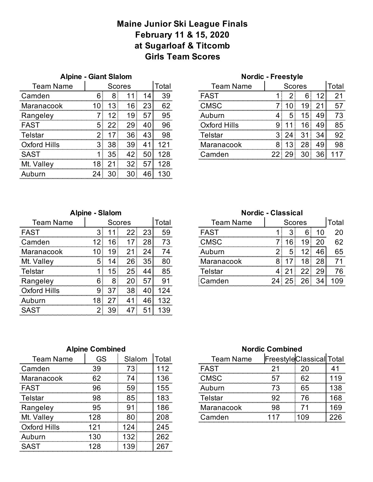#### **Maine Junior Ski League Finals February 11 & 15, 2020 at Sugarloaf & Titcomb Girls Team Scores**

| <b>Alpine - Giant Slalom</b> |       |               |                 |    |       | <b>Nordic - Freestyle</b> |               |    |                 |    |       |
|------------------------------|-------|---------------|-----------------|----|-------|---------------------------|---------------|----|-----------------|----|-------|
| <b>Team Name</b>             |       | <b>Scores</b> |                 |    | Total | <b>Team Name</b>          | <b>Scores</b> |    |                 |    | Total |
| Camden                       |       |               |                 |    | 39    | <b>FAST</b>               |               |    |                 |    | 21    |
| Maranacook                   |       |               | 16.             |    | 62    | CMSC                      |               |    | 19              |    | 57    |
| Rangeley                     |       |               | I9.             | ומ | 95    | Auburn                    |               | Б. | 15 <sub>1</sub> | 49 | 73    |
| <b>FAST</b>                  |       |               |                 |    | 96    | Oxford Hills              |               |    |                 | 49 | 85    |
| Telstar                      |       |               | 36.             |    | 98    | Telstar                   |               |    |                 | 34 | 92    |
| Oxford Hills                 | $3 -$ | 38            | 39 <sup>1</sup> |    |       | Maranacook                | 8             |    | 28.             | 49 | 98    |
| <b>SAST</b>                  |       | 35            |                 | 50 | 28    | Camden                    |               |    | 30.             |    |       |
| Mt. Vallev                   | ∵о.   | ⌒             | 32              | 57 | 128   |                           |               |    |                 |    |       |
|                              |       |               |                 |    |       |                           |               |    |                 |    |       |

|       | <b>Nordic - Freestyle</b> |              |               |      |    |       |
|-------|---------------------------|--------------|---------------|------|----|-------|
| Total | <b>Team Name</b>          |              | <b>Scores</b> |      |    | Total |
|       | <b>FAST</b>               |              |               |      | 12 |       |
|       | CMSC                      |              |               | 19   |    |       |
| 95    | Auburn                    |              |               | 15   | 49 |       |
|       | <b>Oxford Hills</b>       |              |               | 16   | 49 | 85    |
|       | Telstar                   |              |               |      |    |       |
|       | Maranacook                | ŧ            |               | 28   |    |       |
|       | Camden                    | $22^{\circ}$ | -29           | 30 I | 36 |       |

| <b>Alpine - Slalom</b> |  |  |
|------------------------|--|--|
|                        |  |  |

| <b>Team Name</b> |   |   | Scores |    | Total | <b>Team Name</b> | <b>Scores</b> |   | Total |
|------------------|---|---|--------|----|-------|------------------|---------------|---|-------|
| <b>FAST</b>      |   |   |        | 23 | 59    | <b>FAST</b>      |               |   | 20    |
| Camden           |   |   |        |    |       | CMSC             | 6             | У | 62    |
| Maranacook       |   |   |        |    | Δ     |                  |               |   | 65    |
| Mt. Valley       | 5 |   | 26.    | 35 | 80    | Maranacook       |               |   |       |
| Telstar          |   | 5 |        |    | 85    | ⊺eIstar          |               |   |       |
| Rangeley         |   |   |        |    | 9     | amden            |               |   |       |
| Oxford Hills     | 9 |   | 38     |    |       |                  |               |   |       |
| Auburn           |   |   |        |    |       |                  |               |   |       |
|                  |   |   |        |    | 39    |                  |               |   |       |

Team Name | Scores | Total Team Name | Scores | Total Maranacook 8 17 18 28 71 **Nordic - Classical** 

## **Alpine Combined Nordic Combined**

| <b>Team Name</b> | GS | Slalom      | Total | <b>Team Name</b>    |    | <b>FreestyleClassical Tota</b> |     |
|------------------|----|-------------|-------|---------------------|----|--------------------------------|-----|
| Camden           | २० |             |       | FAS1                |    |                                |     |
| Maranacook       | 62 |             | 36.   | ∩MSC                | .  | ,,,,,,,,,,,,<br>62             | 19  |
| <b>FAST</b>      |    | 59          | 55    | uhurn               |    | 65                             | 38  |
| Telstar          | 98 | 85.         |       | <sup>⊦</sup> elstar |    | 76                             | 168 |
| Rangeley         |    |             | 186   | Maranacook          | qя | .                              | 169 |
| Mt. Valley       |    |             |       | amden               |    | <br>09                         |     |
| ∩xford Hills     |    |             | 245   |                     |    |                                |     |
| Auburn           |    | ,,,,,,,,,,, | 262   |                     |    |                                |     |
| <b>SAST</b>      |    |             |       |                     |    |                                |     |

| Slalom | otal | <b>Team Name</b> | <b>FreestyleClassical Total</b> |  |
|--------|------|------------------|---------------------------------|--|
|        |      | <b>FAST</b>      |                                 |  |
|        |      | <b>CMSC</b>      |                                 |  |
|        |      | Auburn           |                                 |  |
|        |      | Telstar          |                                 |  |
|        |      | Maranacook       |                                 |  |
|        |      | Camden           |                                 |  |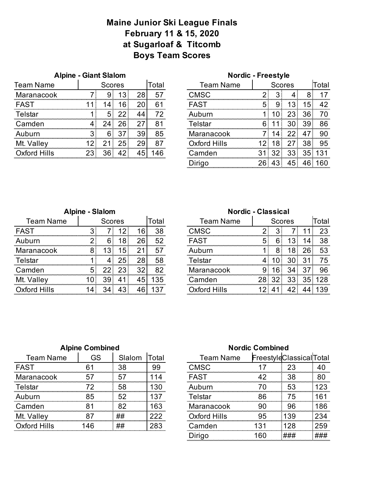# **Maine Junior Ski League Finals February 11 & 15, 2020 at Sugarloaf & Titcomb Boys Team Scores**

| <b>Alpine - Giant Slalom</b> |  |  |
|------------------------------|--|--|
|                              |  |  |

| <b>Team Name</b> |    | Scores |    |                        | otal   | Team Name    |  | Scores |   | otal |
|------------------|----|--------|----|------------------------|--------|--------------|--|--------|---|------|
| Maranacook       |    |        |    |                        | ሓ      |              |  |        |   |      |
| FAST             |    | 4      | 6، | .                      |        | FAST         |  |        |   | ר ו  |
| Telstar          |    |        |    |                        |        |              |  |        |   |      |
| Camden           |    |        | วค |                        | o,<br> | Istal        |  |        |   | 86   |
| Auburn           |    |        |    | .<br>39                | 85     | Maranacook   |  |        | . | 90   |
| Mt. Valley       |    |        | י  | <br>للمحمود والمحمودات | .<br>. | Oxford Hills |  |        |   | 95   |
| ford Hills       | 23 |        |    |                        |        | ımden        |  |        |   |      |

|  | <b>Alpine - Giant Slalom</b> |               |              |    |       |                                   | <b>Nordic - Freestyle</b> |  |                 |     |    |       |
|--|------------------------------|---------------|--------------|----|-------|-----------------------------------|---------------------------|--|-----------------|-----|----|-------|
|  |                              | <b>Scores</b> |              |    | Total | <b>Team Name</b><br><b>Scores</b> |                           |  |                 |     |    | Γotal |
|  |                              |               | ÷            |    |       |                                   | <b>CMSC</b>               |  |                 |     |    |       |
|  |                              |               | 6            |    |       |                                   | FAST                      |  |                 |     | .5 |       |
|  |                              | 5             |              |    |       |                                   | Auburn                    |  |                 | 23. | 36 |       |
|  |                              |               | 26           |    | 81    |                                   | <u>elstar</u>             |  |                 |     | 39 | 86    |
|  |                              | 6             |              | 39 | 85    |                                   | Maranacook                |  |                 |     |    | 90    |
|  |                              |               | 25           |    | 87    |                                   | Oxford Hills              |  | 18              |     | 38 | 95    |
|  |                              | 36            | $42^{\circ}$ |    |       |                                   | :amden                    |  | 32 <sub>1</sub> | 33  | 35 |       |
|  |                              |               |              |    |       | $J$ irigo                         | 26                        |  |                 |     |    |       |
|  |                              |               |              |    |       |                                   |                           |  |                 |     |    |       |

|                  | <b>Alpine - Slalom</b> |                        |     |    |    | <b>Nordic - Classical</b> |                                   |  |  |  |    |      |
|------------------|------------------------|------------------------|-----|----|----|---------------------------|-----------------------------------|--|--|--|----|------|
| <b>Team Name</b> |                        | Total<br><b>Scores</b> |     |    |    |                           | <b>Team Name</b><br><b>Scores</b> |  |  |  |    | Tota |
| <b>FAST</b>      |                        |                        |     | 6  | 38 | CMSC                      |                                   |  |  |  |    | 23   |
| Auburn           |                        | 6                      | 8   | 26 | 52 | FAST                      |                                   |  |  |  | 14 | 38.  |
| Maranacook       | О                      | 3                      | 5   | 21 | 57 |                           |                                   |  |  |  |    | 53   |
| Telstar          |                        |                        | 25. | 28 | 58 | .<br>Felstar              |                                   |  |  |  |    |      |
| Camden           |                        |                        |     | 32 | 82 |                           | Maranacook                        |  |  |  |    | 96   |
| Mt. Valley       |                        | 39                     |     | 45 | 35 | Camden                    |                                   |  |  |  |    |      |
| Oxford Hills     |                        |                        | ר ו |    |    |                           | ∩xford Hills                      |  |  |  |    |      |

| Total | <b>Team Name</b>    |     |       | <b>Scores</b>   |       | Total                    |
|-------|---------------------|-----|-------|-----------------|-------|--------------------------|
| 38    | <b>CMSC</b>         |     |       |                 |       |                          |
|       | FAST                |     |       | E               | 14    |                          |
|       | Auburn              |     |       | 18.             | 26    | 53                       |
|       | Telstar             |     |       | 30 <sup>1</sup> | 31    | $\overline{\phantom{a}}$ |
|       | Maranacook          |     |       | 34.             |       |                          |
| 135   | Camden              |     | 28 32 |                 | 33 35 | 28                       |
|       | <b>Oxford Hills</b> | 12. |       | 42.             |       |                          |

|                  | <b>Alpine Combined</b> |    |       | <b>Nordic Combined</b> |    |                        |      |
|------------------|------------------------|----|-------|------------------------|----|------------------------|------|
| <b>Team Name</b> | GS<br>Slalom           |    | Total | <b>Team Name</b>       |    | FreestyleClassicalTota |      |
| <b>FAST</b>      |                        | 38 | 99    | CMSC                   |    | 23                     |      |
| Maranacook       |                        |    |       | FAST                   |    | 38                     | 80   |
| .<br>Felstar     |                        | 58 |       | iburn                  |    | 53                     |      |
| Auburn           | 85                     | 52 |       | Telstar                | 86 | 75                     |      |
| Camden           |                        | ຂາ | .63   | Maranacook             | gr | 96                     | 86 ا |
| Mt. Vallev       |                        | ## |       | Oxford Hills           |    | 39                     | 234  |
| Oxford Hills     | 46                     | ## |       | :amden                 |    | 28                     | 259  |

|       | <b>Nordic Combined</b> |     |                         |     |  |  |
|-------|------------------------|-----|-------------------------|-----|--|--|
| Total | <b>Team Name</b>       |     | FreestyleClassicalTotal |     |  |  |
| 99    | <b>CMSC</b>            |     | 23                      |     |  |  |
| 114   | <b>FAST</b>            | 42  | 38                      |     |  |  |
|       | Auburn                 |     | 53                      | 123 |  |  |
| 137   | <b>Telstar</b>         | 86  | 75                      | 161 |  |  |
| 163   | Maranacook             |     | 96                      | 186 |  |  |
| 222   | <b>Oxford Hills</b>    | 95  | 139                     |     |  |  |
| 283   | Camden                 | 131 | 128                     | つらの |  |  |
|       | Dirigo                 | 160 |                         |     |  |  |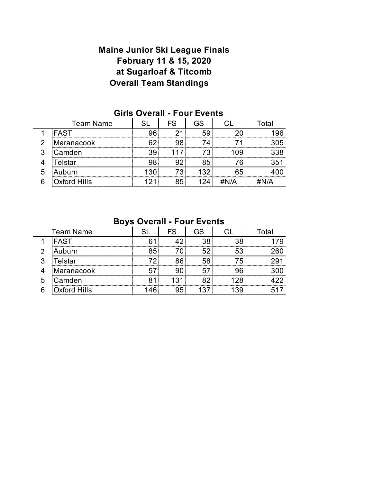### **February 11 & 15, 2020 at Sugarloaf & Titcomb Maine Junior Ski League Finals Overall Team Standings**

| <b>Team Name</b> |                     |  |     | ∩tal |  |
|------------------|---------------------|--|-----|------|--|
|                  | <b>FAST</b>         |  |     |      |  |
| ◠                | Maranacook          |  |     | 15   |  |
| n                | Camden              |  |     | 338  |  |
|                  | <sup>-</sup> elstar |  |     |      |  |
| 5                | Auburn              |  | 20. |      |  |
|                  | <b>Oxford Hills</b> |  |     |      |  |

#### **Girls Overall - Four Events**

#### **Boys Overall - Four Events**

| <b>Team Name</b> |              |  | FS | GS. |  | <sup>-</sup> otal |  |
|------------------|--------------|--|----|-----|--|-------------------|--|
|                  | <b>FAST</b>  |  |    |     |  |                   |  |
|                  | uburn        |  |    |     |  |                   |  |
| 3                | elstar       |  |    |     |  |                   |  |
|                  | Maranacook   |  |    |     |  |                   |  |
| 5                | Camden       |  |    |     |  |                   |  |
| 6                | ixford Hills |  |    |     |  | .                 |  |
|                  |              |  |    |     |  |                   |  |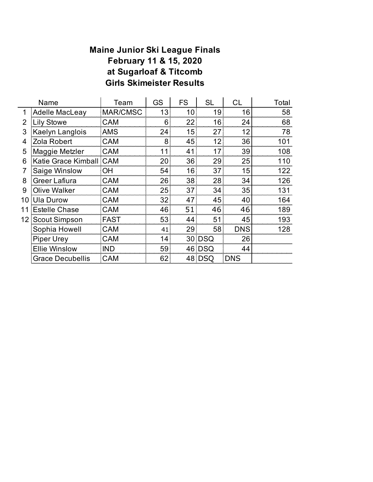### **Maine Junior Ski League Finals February 11 & 15, 2020 at Sugarloaf & Titcomb Girls Skimeister Results**

| Name |                         | Team        | GS | <b>FS</b>       | <b>SL</b>       | CL         | Total |
|------|-------------------------|-------------|----|-----------------|-----------------|------------|-------|
| 1    | <b>Adelle MacLeay</b>   | MAR/CMSC    | 13 | 10              | 19              | 16         | 58    |
| 2    | Lily Stowe              | <b>CAM</b>  | 6  | 22              | 16              | 24         | 68    |
| 3    | Kaelyn Langlois         | AMS         | 24 | 15 <sub>1</sub> | 27:             | 12         | 78    |
| 4    | Zola Robert             | CAM         | 8  | 45 <sub>1</sub> | 12 <sup>1</sup> | 36         | 101   |
| 5    | Maggie Metzler          | <b>CAM</b>  | 11 | 41              | 17              | 39         | 108   |
| 6    | Katie Grace Kimball CAM |             | 20 | 36              | 29:             | 25         | 110   |
|      | Saige Winslow           | OH          | 54 | 16              | 37              | 15         | 122   |
| 8    | Greer Lafiura           | <b>CAM</b>  | 26 | 38              | 28              | 34         | 126   |
| 9    | Olive Walker            | <b>CAM</b>  | 25 | 37              | 34              | 35         | 131   |
| 10   | <b>Ula Durow</b>        | <b>CAM</b>  | 32 | 47              | 45              | 40         | 164   |
| 11   | <b>Estelle Chase</b>    | <b>CAM</b>  | 46 | 51              | 46.             | 46         | 189   |
| 12   | Scout Simpson           | <b>FAST</b> | 53 | 44              | 51              | 45         | 193   |
|      | Sophia Howell           | <b>CAM</b>  | 41 | 29              | 58.             | <b>DNS</b> | 128   |
|      | <b>Piper Urey</b>       | <b>CAM</b>  | 14 |                 | 30 DSQ          | 26         |       |
|      | <b>Ellie Winslow</b>    | <b>IND</b>  | 59 |                 | 46 DSQ          | 44         |       |
|      | <b>Grace Decubellis</b> | <b>CAM</b>  | 62 |                 | 48 DSQ          | <b>DNS</b> |       |